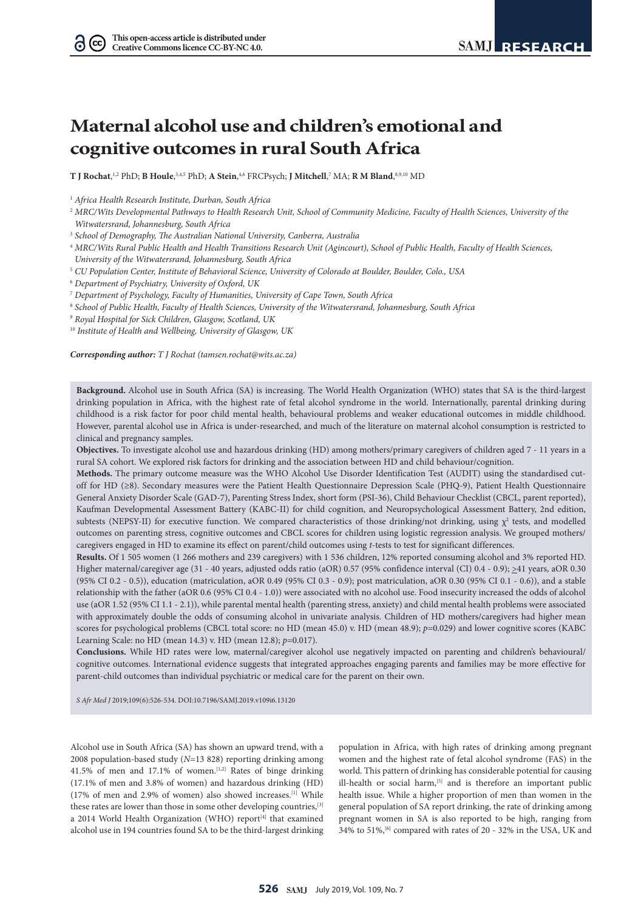$(cc)$ 

# **Maternal alcohol use and children's emotional and cognitive outcomes in rural South Africa**

**T J Rochat, <sup>1,2</sup> PhD; <b>B Houle**, <sup>3,4,5</sup> PhD; **A Stein**, <sup>4,6</sup> FRCPsych; **J Mitchell**,<sup>7</sup> MA; **R M Bland**, <sup>8,9,10</sup> MD

<sup>5</sup> *CU Population Center, Institute of Behavioral Science, University of Colorado at Boulder, Boulder, Colo., USA*

<sup>6</sup> *Department of Psychiatry, University of Oxford, UK*

<sup>8</sup> *School of Public Health, Faculty of Health Sciences, University of the Witwatersrand, Johannesburg, South Africa*

<sup>9</sup> *Royal Hospital for Sick Children, Glasgow, Scotland, UK*

<sup>10</sup> *Institute of Health and Wellbeing, University of Glasgow, UK*

*Corresponding author: T J Rochat (tamsen.rochat@wits.ac.za)*

**Background.** Alcohol use in South Africa (SA) is increasing. The World Health Organization (WHO) states that SA is the third-largest drinking population in Africa, with the highest rate of fetal alcohol syndrome in the world. Internationally, parental drinking during childhood is a risk factor for poor child mental health, behavioural problems and weaker educational outcomes in middle childhood. However, parental alcohol use in Africa is under-researched, and much of the literature on maternal alcohol consumption is restricted to clinical and pregnancy samples.

**Objectives.** To investigate alcohol use and hazardous drinking (HD) among mothers/primary caregivers of children aged 7 - 11 years in a rural SA cohort. We explored risk factors for drinking and the association between HD and child behaviour/cognition.

**Methods.** The primary outcome measure was the WHO Alcohol Use Disorder Identification Test (AUDIT) using the standardised cutoff for HD (≥8). Secondary measures were the Patient Health Questionnaire Depression Scale (PHQ-9), Patient Health Questionnaire General Anxiety Disorder Scale (GAD-7), Parenting Stress Index, short form (PSI-36), Child Behaviour Checklist (CBCL, parent reported), Kaufman Developmental Assessment Battery (KABC-II) for child cognition, and Neuropsychological Assessment Battery, 2nd edition, subtests (NEPSY-II) for executive function. We compared characteristics of those drinking/not drinking, using  $\chi^2$  tests, and modelled outcomes on parenting stress, cognitive outcomes and CBCL scores for children using logistic regression analysis. We grouped mothers/ caregivers engaged in HD to examine its effect on parent/child outcomes using *t*-tests to test for significant differences.

**Results.** Of 1 505 women (1 266 mothers and 239 caregivers) with 1 536 children, 12% reported consuming alcohol and 3% reported HD. Higher maternal/caregiver age (31 - 40 years, adjusted odds ratio (aOR) 0.57 (95% confidence interval (CI) 0.4 - 0.9); >41 years, aOR 0.30 (95% CI 0.2 - 0.5)), education (matriculation, aOR 0.49 (95% CI 0.3 - 0.9); post matriculation, aOR 0.30 (95% CI 0.1 - 0.6)), and a stable relationship with the father (aOR 0.6 (95% CI 0.4 - 1.0)) were associated with no alcohol use. Food insecurity increased the odds of alcohol use (aOR 1.52 (95% CI 1.1 - 2.1)), while parental mental health (parenting stress, anxiety) and child mental health problems were associated with approximately double the odds of consuming alcohol in univariate analysis. Children of HD mothers/caregivers had higher mean scores for psychological problems (CBCL total score: no HD (mean 45.0) v. HD (mean 48.9); *p*=0.029) and lower cognitive scores (KABC Learning Scale: no HD (mean 14.3) v. HD (mean 12.8); *p*=0.017).

**Conclusions.** While HD rates were low, maternal/caregiver alcohol use negatively impacted on parenting and children's behavioural/ cognitive outcomes. International evidence suggests that integrated approaches engaging parents and families may be more effective for parent-child outcomes than individual psychiatric or medical care for the parent on their own.

*S Afr Med J* 2019;109(6):526-534. DOI:10.7196/SAMJ.2019.v109i6.13120

Alcohol use in South Africa (SA) has shown an upward trend, with a 2008 population-based study (*N*=13 828) reporting drinking among 41.5% of men and 17.1% of women.[1,2] Rates of binge drinking (17.1% of men and 3.8% of women) and hazardous drinking (HD) (17% of men and 2.9% of women) also showed increases.[1] While these rates are lower than those in some other developing countries,[3] a 2014 World Health Organization (WHO) report<sup>[4]</sup> that examined alcohol use in 194 countries found SA to be the third-largest drinking

population in Africa, with high rates of drinking among pregnant women and the highest rate of fetal alcohol syndrome (FAS) in the world. This pattern of drinking has considerable potential for causing ill-health or social harm,<sup>[5]</sup> and is therefore an important public health issue. While a higher proportion of men than women in the general population of SA report drinking, the rate of drinking among pregnant women in SA is also reported to be high, ranging from 34% to 51%,[6] compared with rates of 20 - 32% in the USA, UK and

<sup>1</sup> *Africa Health Research Institute, Durban, South Africa*

<sup>&</sup>lt;sup>2</sup> MRC/Wits Developmental Pathways to Health Research Unit, School of Community Medicine, Faculty of Health Sciences, University of the *Witwatersrand, Johannesburg, South Africa*

<sup>3</sup> *School of Demography, The Australian National University, Canberra, Australia*

<sup>4</sup> *MRC/Wits Rural Public Health and Health Transitions Research Unit (Agincourt), School of Public Health, Faculty of Health Sciences, University of the Witwatersrand, Johannesburg, South Africa*

<sup>7</sup> *Department of Psychology, Faculty of Humanities, University of Cape Town, South Africa*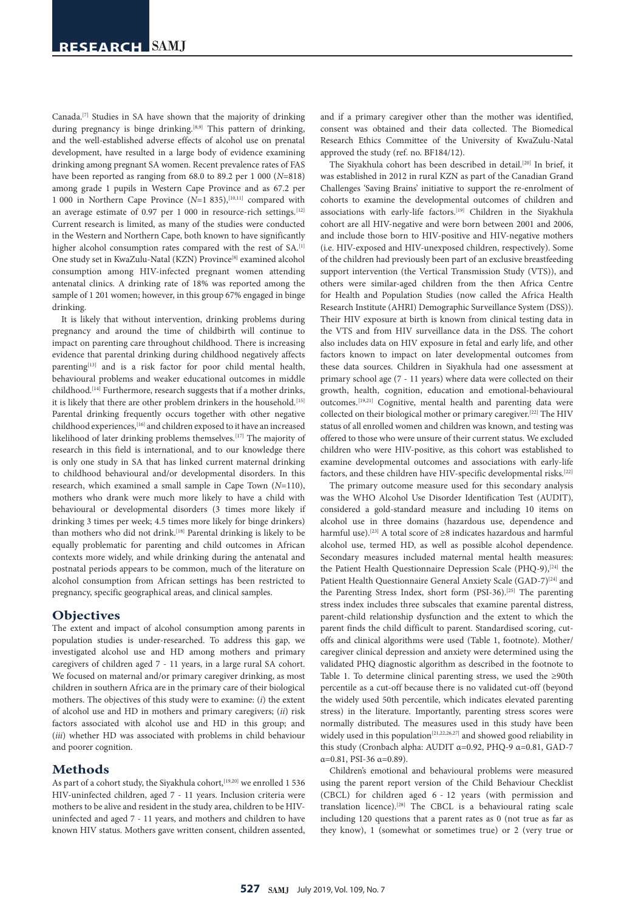Canada.[7] Studies in SA have shown that the majority of drinking during pregnancy is binge drinking.<sup>[8,9]</sup> This pattern of drinking, and the well-established adverse effects of alcohol use on prenatal development, have resulted in a large body of evidence examining drinking among pregnant SA women. Recent prevalence rates of FAS have been reported as ranging from 68.0 to 89.2 per 1 000 (*N*=818) among grade 1 pupils in Western Cape Province and as 67.2 per 1 000 in Northern Cape Province  $(N=1 835)$ ,  $[10,11]$  compared with an average estimate of 0.97 per 1 000 in resource-rich settings.  $[12]$ Current research is limited, as many of the studies were conducted in the Western and Northern Cape, both known to have significantly higher alcohol consumption rates compared with the rest of SA.<sup>[1]</sup> One study set in KwaZulu-Natal (KZN) Province<sup>[8]</sup> examined alcohol consumption among HIV-infected pregnant women attending antenatal clinics. A drinking rate of 18% was reported among the sample of 1 201 women; however, in this group 67% engaged in binge drinking.

It is likely that without intervention, drinking problems during pregnancy and around the time of childbirth will continue to impact on parenting care throughout childhood. There is increasing evidence that parental drinking during childhood negatively affects parenting<sup>[13]</sup> and is a risk factor for poor child mental health, behavioural problems and weaker educational outcomes in middle childhood.[14] Furthermore, research suggests that if a mother drinks, it is likely that there are other problem drinkers in the household.<sup>[15]</sup> Parental drinking frequently occurs together with other negative childhood experiences,[16] and children exposed to it have an increased likelihood of later drinking problems themselves.<sup>[17]</sup> The majority of research in this field is international, and to our knowledge there is only one study in SA that has linked current maternal drinking to childhood behavioural and/or developmental disorders. In this research, which examined a small sample in Cape Town (*N*=110), mothers who drank were much more likely to have a child with behavioural or developmental disorders (3 times more likely if drinking 3 times per week; 4.5 times more likely for binge drinkers) than mothers who did not drink.<sup>[18]</sup> Parental drinking is likely to be equally problematic for parenting and child outcomes in African contexts more widely, and while drinking during the antenatal and postnatal periods appears to be common, much of the literature on alcohol consumption from African settings has been restricted to pregnancy, specific geographical areas, and clinical samples.

## **Objectives**

The extent and impact of alcohol consumption among parents in population studies is under-researched. To address this gap, we investigated alcohol use and HD among mothers and primary caregivers of children aged 7 - 11 years, in a large rural SA cohort. We focused on maternal and/or primary caregiver drinking, as most children in southern Africa are in the primary care of their biological mothers. The objectives of this study were to examine: (*i*) the extent of alcohol use and HD in mothers and primary caregivers; (*ii*) risk factors associated with alcohol use and HD in this group; and (*iii*) whether HD was associated with problems in child behaviour and poorer cognition.

### **Methods**

As part of a cohort study, the Siyakhula cohort,<sup>[19,20]</sup> we enrolled 1 536 HIV-uninfected children, aged 7 - 11 years. Inclusion criteria were mothers to be alive and resident in the study area, children to be HIVuninfected and aged 7 - 11 years, and mothers and children to have known HIV status. Mothers gave written consent, children assented,

and if a primary caregiver other than the mother was identified, consent was obtained and their data collected. The Biomedical Research Ethics Committee of the University of KwaZulu-Natal approved the study (ref. no. BF184/12).

The Siyakhula cohort has been described in detail.[20] In brief, it was established in 2012 in rural KZN as part of the Canadian Grand Challenges 'Saving Brains' initiative to support the re-enrolment of cohorts to examine the developmental outcomes of children and associations with early-life factors.<sup>[19]</sup> Children in the Siyakhula cohort are all HIV-negative and were born between 2001 and 2006, and include those born to HIV-positive and HIV-negative mothers (i.e. HIV-exposed and HIV-unexposed children, respectively). Some of the children had previously been part of an exclusive breastfeeding support intervention (the Vertical Transmission Study (VTS)), and others were similar-aged children from the then Africa Centre for Health and Population Studies (now called the Africa Health Research Institute (AHRI) Demographic Surveillance System (DSS)). Their HIV exposure at birth is known from clinical testing data in the VTS and from HIV surveillance data in the DSS. The cohort also includes data on HIV exposure in fetal and early life, and other factors known to impact on later developmental outcomes from these data sources. Children in Siyakhula had one assessment at primary school age (7 - 11 years) where data were collected on their growth, health, cognition, education and emotional-behavioural outcomes.[19,21] Cognitive, mental health and parenting data were collected on their biological mother or primary caregiver.[22] The HIV status of all enrolled women and children was known, and testing was offered to those who were unsure of their current status. We excluded children who were HIV-positive, as this cohort was established to examine developmental outcomes and associations with early-life factors, and these children have HIV-specific developmental risks.<sup>[22]</sup>

The primary outcome measure used for this secondary analysis was the WHO Alcohol Use Disorder Identification Test (AUDIT), considered a gold-standard measure and including 10 items on alcohol use in three domains (hazardous use, dependence and harmful use).[23] A total score of ≥8 indicates hazardous and harmful alcohol use, termed HD, as well as possible alcohol dependence. Secondary measures included maternal mental health measures: the Patient Health Questionnaire Depression Scale (PHQ-9),<sup>[24]</sup> the Patient Health Questionnaire General Anxiety Scale (GAD-7)<sup>[24]</sup> and the Parenting Stress Index, short form (PSI-36).[25] The parenting stress index includes three subscales that examine parental distress, parent-child relationship dysfunction and the extent to which the parent finds the child difficult to parent. Standardised scoring, cutoffs and clinical algorithms were used (Table 1, footnote). Mother/ caregiver clinical depression and anxiety were determined using the validated PHQ diagnostic algorithm as described in the footnote to Table 1. To determine clinical parenting stress, we used the ≥90th percentile as a cut-off because there is no validated cut-off (beyond the widely used 50th percentile, which indicates elevated parenting stress) in the literature. Importantly, parenting stress scores were normally distributed. The measures used in this study have been widely used in this population<sup>[21,22,26,27]</sup> and showed good reliability in this study (Cronbach alpha: AUDIT α=0.92, PHQ-9 α=0.81, GAD-7 α=0.81, PSI-36 α=0.89).

Children's emotional and behavioural problems were measured using the parent report version of the Child Behaviour Checklist (CBCL) for children aged 6 - 12 years (with permission and translation licence).[28] The CBCL is a behavioural rating scale including 120 questions that a parent rates as 0 (not true as far as they know), 1 (somewhat or sometimes true) or 2 (very true or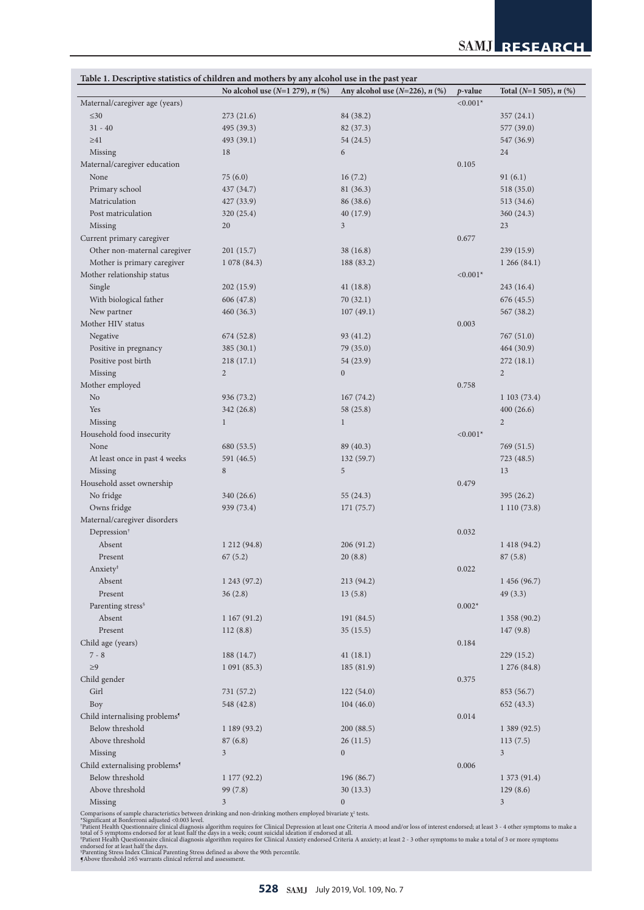|                                           | Table 1. Descriptive statistics of children and mothers by any alcohol use in the past year<br>No alcohol use $(N=1 279)$ , n $(\%)$ | Any alcohol use $(N=226)$ , n $(\%)$ | p-value    | Total $(N=1 505)$ , n $(\%)$ |
|-------------------------------------------|--------------------------------------------------------------------------------------------------------------------------------------|--------------------------------------|------------|------------------------------|
| Maternal/caregiver age (years)            |                                                                                                                                      |                                      | $< 0.001*$ |                              |
| $\leq 30$                                 | 273 (21.6)                                                                                                                           | 84 (38.2)                            |            | 357 (24.1)                   |
| $31 - 40$                                 |                                                                                                                                      | 82 (37.3)                            |            | 577 (39.0)                   |
|                                           | 495 (39.3)                                                                                                                           |                                      |            |                              |
| $\geq 41$                                 | 493 (39.1)                                                                                                                           | 54 (24.5)                            |            | 547 (36.9)                   |
| Missing                                   | 18                                                                                                                                   | 6                                    |            | 24                           |
| Maternal/caregiver education              |                                                                                                                                      |                                      | 0.105      |                              |
| None                                      | 75(6.0)                                                                                                                              | 16(7.2)                              |            | 91(6.1)                      |
| Primary school                            | 437 (34.7)                                                                                                                           | 81 (36.3)                            |            | 518 (35.0)                   |
| Matriculation                             | 427(33.9)                                                                                                                            | 86 (38.6)                            |            | 513 (34.6)                   |
| Post matriculation                        | 320(25.4)                                                                                                                            | 40 (17.9)                            |            | 360(24.3)                    |
| Missing                                   | 20                                                                                                                                   | $\overline{3}$                       |            | 23                           |
| Current primary caregiver                 |                                                                                                                                      |                                      | 0.677      |                              |
| Other non-maternal caregiver              | 201 (15.7)                                                                                                                           | 38(16.8)                             |            | 239(15.9)                    |
| Mother is primary caregiver               | 1078(84.3)                                                                                                                           | 188 (83.2)                           |            | 1266(84.1)                   |
| Mother relationship status                |                                                                                                                                      |                                      | $< 0.001*$ |                              |
| Single                                    | 202(15.9)                                                                                                                            | 41(18.8)                             |            | 243 (16.4)                   |
| With biological father                    | 606 (47.8)                                                                                                                           | 70(32.1)                             |            | 676 (45.5)                   |
| New partner                               | 460(36.3)                                                                                                                            | 107(49.1)                            |            | 567 (38.2)                   |
| Mother HIV status                         |                                                                                                                                      |                                      | 0.003      |                              |
| Negative                                  | 674 (52.8)                                                                                                                           | 93 (41.2)                            |            | 767 (51.0)                   |
|                                           |                                                                                                                                      |                                      |            |                              |
| Positive in pregnancy                     | 385(30.1)                                                                                                                            | 79 (35.0)                            |            | 464(30.9)                    |
| Positive post birth                       | 218(17.1)                                                                                                                            | 54 (23.9)                            |            | 272(18.1)                    |
| Missing                                   | $\overline{c}$                                                                                                                       | $\boldsymbol{0}$                     |            | $\overline{2}$               |
| Mother employed                           |                                                                                                                                      |                                      | 0.758      |                              |
| N <sub>o</sub>                            | 936 (73.2)                                                                                                                           | 167(74.2)                            |            | 1103(73.4)                   |
| Yes                                       | 342(26.8)                                                                                                                            | 58 (25.8)                            |            | 400(26.6)                    |
| Missing                                   | $\mathbf{1}$                                                                                                                         | $\mathbf{1}$                         |            | $\overline{2}$               |
| Household food insecurity                 |                                                                                                                                      |                                      | $< 0.001*$ |                              |
| None                                      | 680 (53.5)                                                                                                                           | 89 (40.3)                            |            | 769 (51.5)                   |
| At least once in past 4 weeks             | 591 (46.5)                                                                                                                           | 132(59.7)                            |            | 723 (48.5)                   |
| Missing                                   | 8                                                                                                                                    | 5                                    |            | 13                           |
| Household asset ownership                 |                                                                                                                                      |                                      | 0.479      |                              |
| No fridge                                 | 340 (26.6)                                                                                                                           | 55(24.3)                             |            | 395(26.2)                    |
| Owns fridge                               | 939 (73.4)                                                                                                                           | 171 (75.7)                           |            | 1110(73.8)                   |
| Maternal/caregiver disorders              |                                                                                                                                      |                                      |            |                              |
| Depression <sup>†</sup>                   |                                                                                                                                      |                                      | 0.032      |                              |
| Absent                                    |                                                                                                                                      |                                      |            |                              |
|                                           | 1 212 (94.8)                                                                                                                         | 206 (91.2)                           |            | 1 418 (94.2)                 |
| Present                                   | 67(5.2)                                                                                                                              | 20(8.8)                              |            | 87(5.8)                      |
| Anxiety <sup>‡</sup>                      |                                                                                                                                      |                                      | 0.022      |                              |
| Absent                                    | 1 243 (97.2)                                                                                                                         | 213 (94.2)                           |            | 1 456 (96.7)                 |
| Present                                   | 36(2.8)                                                                                                                              | 13(5.8)                              |            | 49(3.3)                      |
| Parenting stress <sup>§</sup>             |                                                                                                                                      |                                      | $0.002*$   |                              |
| Absent                                    | 1167(91.2)                                                                                                                           | 191 (84.5)                           |            | 1358(90.2)                   |
| Present                                   | 112(8.8)                                                                                                                             | 35(15.5)                             |            | 147(9.8)                     |
| Child age (years)                         |                                                                                                                                      |                                      | 0.184      |                              |
| $7 - 8$                                   | 188 (14.7)                                                                                                                           | 41(18.1)                             |            | 229(15.2)                    |
| ${\geq}9$                                 | 1091(85.3)                                                                                                                           | 185 (81.9)                           |            | 1 276 (84.8)                 |
| Child gender                              |                                                                                                                                      |                                      | 0.375      |                              |
| Girl                                      | 731 (57.2)                                                                                                                           | 122(54.0)                            |            | 853 (56.7)                   |
| Boy                                       | 548 (42.8)                                                                                                                           | 104(46.0)                            |            | 652 (43.3)                   |
| Child internalising problems <sup>9</sup> |                                                                                                                                      |                                      | 0.014      |                              |
|                                           |                                                                                                                                      |                                      |            |                              |
| Below threshold                           | 1 189 (93.2)                                                                                                                         | 200 (88.5)                           |            | 1 389 (92.5)                 |
| Above threshold                           | 87(6.8)                                                                                                                              | 26(11.5)                             |            | 113(7.5)                     |
| Missing                                   | $\mathfrak{Z}$                                                                                                                       | $\boldsymbol{0}$                     |            | $\overline{3}$               |
| Child externalising problems <sup>9</sup> |                                                                                                                                      |                                      | 0.006      |                              |
| Below threshold                           | 1 177 (92.2)                                                                                                                         | 196 (86.7)                           |            | 1 373 (91.4)                 |
| Above threshold                           | 99 (7.8)                                                                                                                             | 30(13.3)                             |            | 129(8.6)                     |
| Missing                                   | $\mathfrak{Z}$                                                                                                                       | $\overline{0}$                       |            | $\mathfrak{Z}$               |

Comparisons of sample characteristics between drinking and non-drinking mothers employed bivariate  $\chi^2$  tests.<br>\*Significant at Bonferron is djusted <0.003 level.<br>\*Significant at Bonferron is djusted <0.003 level.<br>\*Patien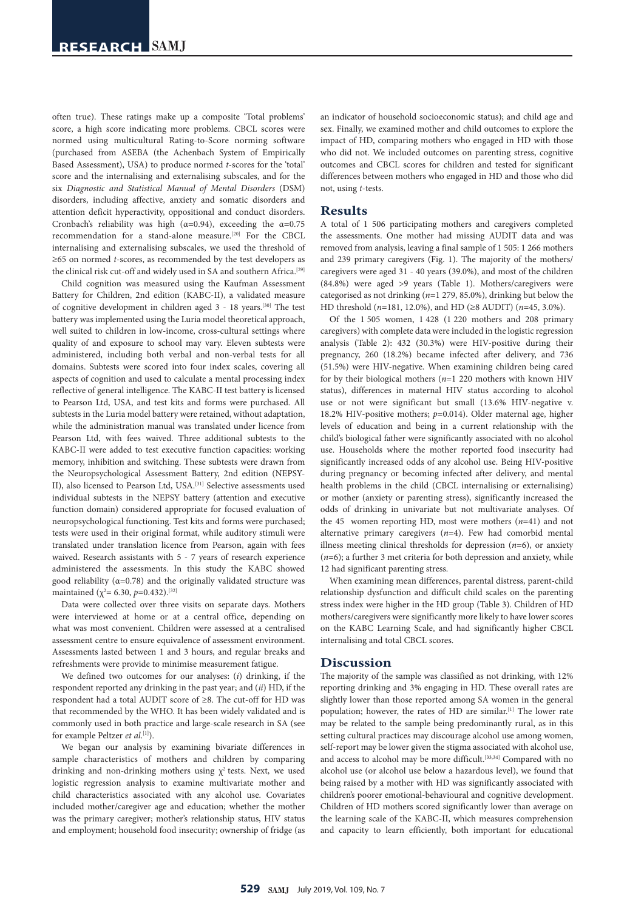often true). These ratings make up a composite 'Total problems' score, a high score indicating more problems. CBCL scores were normed using multicultural Rating-to-Score norming software (purchased from ASEBA (the Achenbach System of Empirically Based Assessment), USA) to produce normed *t*-scores for the 'total' score and the internalising and externalising subscales, and for the six *Diagnostic and Statistical Manual of Mental Disorders* (DSM) disorders, including affective, anxiety and somatic disorders and attention deficit hyperactivity, oppositional and conduct disorders. Cronbach's reliability was high ( $\alpha$ =0.94), exceeding the  $\alpha$ =0.75 recommendation for a stand-alone measure.<sup>[20]</sup> For the CBCL internalising and externalising subscales, we used the threshold of ≥65 on normed *t*-scores, as recommended by the test developers as the clinical risk cut-off and widely used in SA and southern Africa.<sup>[29]</sup>

Child cognition was measured using the Kaufman Assessment Battery for Children, 2nd edition (KABC-II), a validated measure of cognitive development in children aged 3 - 18 years.[30] The test battery was implemented using the Luria model theoretical approach, well suited to children in low-income, cross-cultural settings where quality of and exposure to school may vary. Eleven subtests were administered, including both verbal and non-verbal tests for all domains. Subtests were scored into four index scales, covering all aspects of cognition and used to calculate a mental processing index reflective of general intelligence. The KABC-II test battery is licensed to Pearson Ltd, USA, and test kits and forms were purchased. All subtests in the Luria model battery were retained, without adaptation, while the administration manual was translated under licence from Pearson Ltd, with fees waived. Three additional subtests to the KABC-II were added to test executive function capacities: working memory, inhibition and switching. These subtests were drawn from the Neuropsychological Assessment Battery, 2nd edition (NEPSY-II), also licensed to Pearson Ltd, USA.[31] Selective assessments used individual subtests in the NEPSY battery (attention and executive function domain) considered appropriate for focused evaluation of neuropsychological functioning. Test kits and forms were purchased; tests were used in their original format, while auditory stimuli were translated under translation licence from Pearson, again with fees waived. Research assistants with 5 - 7 years of research experience administered the assessments. In this study the KABC showed good reliability ( $\alpha$ =0.78) and the originally validated structure was maintained (χ<sup>2</sup>= 6.30, *p*=0.432).<sup>[32]</sup>

Data were collected over three visits on separate days. Mothers were interviewed at home or at a central office, depending on what was most convenient. Children were assessed at a centralised assessment centre to ensure equivalence of assessment environment. Assessments lasted between 1 and 3 hours, and regular breaks and refreshments were provide to minimise measurement fatigue.

We defined two outcomes for our analyses: (*i*) drinking, if the respondent reported any drinking in the past year; and (*ii*) HD, if the respondent had a total AUDIT score of ≥8. The cut-off for HD was that recommended by the WHO. It has been widely validated and is commonly used in both practice and large-scale research in SA (see for example Peltzer *et al*. [1]).

We began our analysis by examining bivariate differences in sample characteristics of mothers and children by comparing drinking and non-drinking mothers using  $\chi^2$  tests. Next, we used logistic regression analysis to examine multivariate mother and child characteristics associated with any alcohol use. Covariates included mother/caregiver age and education; whether the mother was the primary caregiver; mother's relationship status, HIV status and employment; household food insecurity; ownership of fridge (as

an indicator of household socioeconomic status); and child age and sex. Finally, we examined mother and child outcomes to explore the impact of HD, comparing mothers who engaged in HD with those who did not. We included outcomes on parenting stress, cognitive outcomes and CBCL scores for children and tested for significant differences between mothers who engaged in HD and those who did not, using *t*-tests.

#### **Results**

A total of 1 506 participating mothers and caregivers completed the assessments. One mother had missing AUDIT data and was removed from analysis, leaving a final sample of 1 505: 1 266 mothers and 239 primary caregivers (Fig. 1). The majority of the mothers/ caregivers were aged 31 - 40 years (39.0%), and most of the children (84.8%) were aged >9 years (Table 1). Mothers/caregivers were categorised as not drinking (*n*=1 279, 85.0%), drinking but below the HD threshold (*n*=181, 12.0%), and HD (≥8 AUDIT) (*n*=45, 3.0%).

Of the 1 505 women, 1 428 (1 220 mothers and 208 primary caregivers) with complete data were included in the logistic regression analysis (Table 2): 432 (30.3%) were HIV-positive during their pregnancy, 260 (18.2%) became infected after delivery, and 736 (51.5%) were HIV-negative. When examining children being cared for by their biological mothers (*n*=1 220 mothers with known HIV status), differences in maternal HIV status according to alcohol use or not were significant but small (13.6% HIV-negative v. 18.2% HIV-positive mothers; *p*=0.014). Older maternal age, higher levels of education and being in a current relationship with the child's biological father were significantly associated with no alcohol use. Households where the mother reported food insecurity had significantly increased odds of any alcohol use. Being HIV-positive during pregnancy or becoming infected after delivery, and mental health problems in the child (CBCL internalising or externalising) or mother (anxiety or parenting stress), significantly increased the odds of drinking in univariate but not multivariate analyses. Of the 45 women reporting HD, most were mothers  $(n=41)$  and not alternative primary caregivers (*n*=4). Few had comorbid mental illness meeting clinical thresholds for depression (*n*=6), or anxiety (*n*=6); a further 3 met criteria for both depression and anxiety, while 12 had significant parenting stress.

When examining mean differences, parental distress, parent-child relationship dysfunction and difficult child scales on the parenting stress index were higher in the HD group (Table 3). Children of HD mothers/caregivers were significantly more likely to have lower scores on the KABC Learning Scale, and had significantly higher CBCL internalising and total CBCL scores.

### **Discussion**

The majority of the sample was classified as not drinking, with 12% reporting drinking and 3% engaging in HD. These overall rates are slightly lower than those reported among SA women in the general population; however, the rates of HD are similar.<sup>[1]</sup> The lower rate may be related to the sample being predominantly rural, as in this setting cultural practices may discourage alcohol use among women, self-report may be lower given the stigma associated with alcohol use, and access to alcohol may be more difficult.<sup>[33,34]</sup> Compared with no alcohol use (or alcohol use below a hazardous level), we found that being raised by a mother with HD was significantly associated with children's poorer emotional-behavioural and cognitive development. Children of HD mothers scored significantly lower than average on the learning scale of the KABC-II, which measures comprehension and capacity to learn efficiently, both important for educational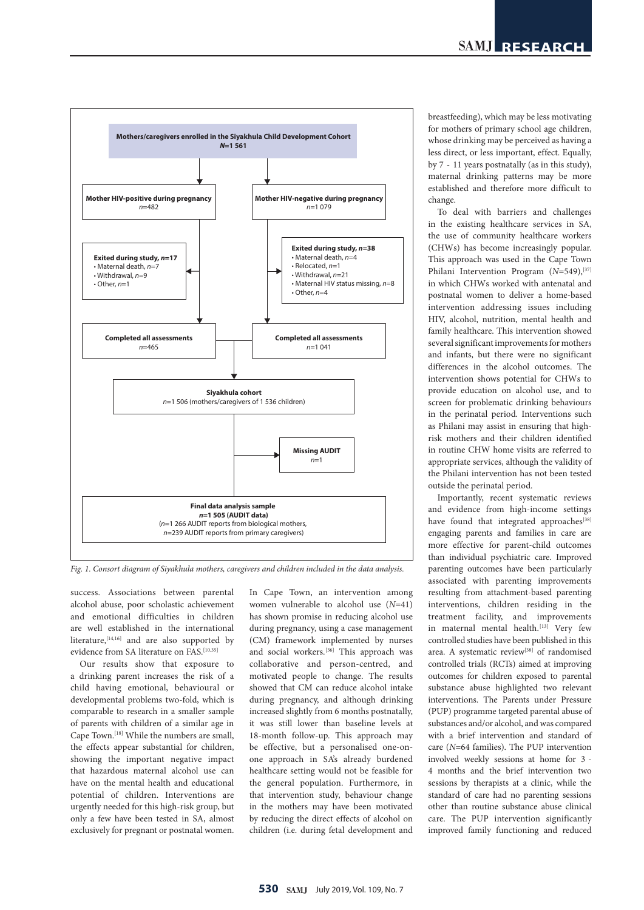

*Fig. 1. Consort diagram of Siyakhula mothers, caregivers and children included in the data analysis.*

success. Associations between parental alcohol abuse, poor scholastic achievement and emotional difficulties in children are well established in the international literature,  $[14,16]$  and are also supported by evidence from SA literature on FAS.<sup>[10,35]</sup>

Our results show that exposure to a drinking parent increases the risk of a child having emotional, behavioural or developmental problems two-fold, which is comparable to research in a smaller sample of parents with children of a similar age in Cape Town.[18] While the numbers are small, the effects appear substantial for children, showing the important negative impact that hazardous maternal alcohol use can have on the mental health and educational potential of children. Interventions are urgently needed for this high-risk group, but only a few have been tested in SA, almost exclusively for pregnant or postnatal women.

In Cape Town, an intervention among women vulnerable to alcohol use (*N*=41) has shown promise in reducing alcohol use during pregnancy, using a case management (CM) framework implemented by nurses and social workers.<sup>[36]</sup> This approach was collaborative and person-centred, and motivated people to change. The results showed that CM can reduce alcohol intake during pregnancy, and although drinking increased slightly from 6 months postnatally, it was still lower than baseline levels at 18-month follow-up. This approach may be effective, but a personalised one-onone approach in SA's already burdened healthcare setting would not be feasible for the general population. Furthermore, in that intervention study, behaviour change in the mothers may have been motivated by reducing the direct effects of alcohol on children (i.e. during fetal development and breastfeeding), which may be less motivating for mothers of primary school age children, whose drinking may be perceived as having a less direct, or less important, effect. Equally, by 7 - 11 years postnatally (as in this study), maternal drinking patterns may be more established and therefore more difficult to change.

To deal with barriers and challenges in the existing healthcare services in SA, the use of community healthcare workers (CHWs) has become increasingly popular. This approach was used in the Cape Town Philani Intervention Program ( $N=549$ ),<sup>[37]</sup> in which CHWs worked with antenatal and postnatal women to deliver a home-based intervention addressing issues including HIV, alcohol, nutrition, mental health and family healthcare. This intervention showed several significant improvements for mothers and infants, but there were no significant differences in the alcohol outcomes. The intervention shows potential for CHWs to provide education on alcohol use, and to screen for problematic drinking behaviours in the perinatal period. Interventions such as Philani may assist in ensuring that highrisk mothers and their children identified in routine CHW home visits are referred to appropriate services, although the validity of the Philani intervention has not been tested outside the perinatal period.

Importantly, recent systematic reviews and evidence from high-income settings have found that integrated approaches[38] engaging parents and families in care are more effective for parent-child outcomes than individual psychiatric care. Improved parenting outcomes have been particularly associated with parenting improvements resulting from attachment-based parenting interventions, children residing in the treatment facility, and improvements in maternal mental health.<sup>[13]</sup> Very few controlled studies have been published in this area. A systematic review<sup>[38]</sup> of randomised controlled trials (RCTs) aimed at improving outcomes for children exposed to parental substance abuse highlighted two relevant interventions. The Parents under Pressure (PUP) programme targeted parental abuse of substances and/or alcohol, and was compared with a brief intervention and standard of care (*N*=64 families). The PUP intervention involved weekly sessions at home for 3 - 4 months and the brief intervention two sessions by therapists at a clinic, while the standard of care had no parenting sessions other than routine substance abuse clinical care. The PUP intervention significantly improved family functioning and reduced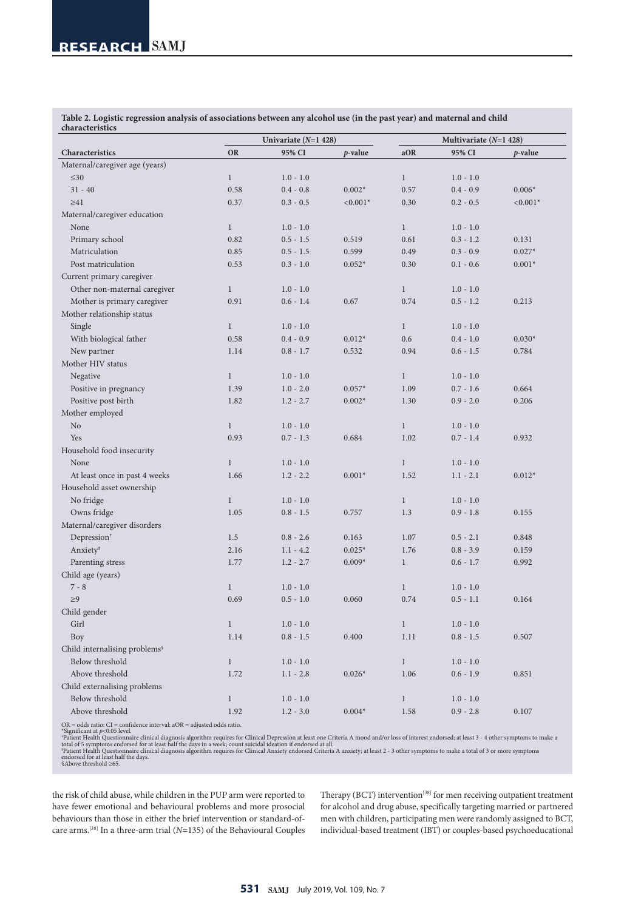**Table 2. Logistic regression analysis of associations between any alcohol use (in the past year) and maternal and child characteristics**

|                                           |              | Univariate $(N=1 428)$ |            |              | Multivariate $(N=1 428)$ |                 |
|-------------------------------------------|--------------|------------------------|------------|--------------|--------------------------|-----------------|
| Characteristics                           | <b>OR</b>    | 95% CI                 | $p$ -value | aOR          | 95% CI                   | <i>p</i> -value |
| Maternal/caregiver age (years)            |              |                        |            |              |                          |                 |
| $\leq 30$                                 | $\mathbf{1}$ | $1.0 - 1.0$            |            | $\mathbf{1}$ | $1.0 - 1.0$              |                 |
| $31 - 40$                                 | 0.58         | $0.4 - 0.8$            | $0.002*$   | 0.57         | $0.4 - 0.9$              | $0.006*$        |
| $\geq 41$                                 | 0.37         | $0.3 - 0.5$            | $< 0.001*$ | 0.30         | $0.2 - 0.5$              | $< 0.001*$      |
| Maternal/caregiver education              |              |                        |            |              |                          |                 |
| None                                      | $\mathbf{1}$ | $1.0 - 1.0$            |            | $\mathbf{1}$ | $1.0 - 1.0$              |                 |
| Primary school                            | 0.82         | $0.5 - 1.5$            | 0.519      | 0.61         | $0.3 - 1.2$              | 0.131           |
| Matriculation                             | 0.85         | $0.5 - 1.5$            | 0.599      | 0.49         | $0.3 - 0.9$              | $0.027*$        |
| Post matriculation                        | 0.53         | $0.3 - 1.0$            | $0.052*$   | 0.30         | $0.1 - 0.6$              | $0.001*$        |
| Current primary caregiver                 |              |                        |            |              |                          |                 |
| Other non-maternal caregiver              | $\mathbf{1}$ | $1.0 - 1.0$            |            | $\mathbf{1}$ | $1.0 - 1.0$              |                 |
| Mother is primary caregiver               | 0.91         | $0.6 - 1.4$            | 0.67       | 0.74         | $0.5 - 1.2$              | 0.213           |
| Mother relationship status                |              |                        |            |              |                          |                 |
| Single                                    | $\mathbf{1}$ | $1.0 - 1.0$            |            | $\mathbf{1}$ | $1.0 - 1.0$              |                 |
| With biological father                    | 0.58         | $0.4 - 0.9$            | $0.012*$   | 0.6          | $0.4 - 1.0$              | $0.030*$        |
| New partner                               | 1.14         | $0.8 - 1.7$            | 0.532      | 0.94         | $0.6 - 1.5$              | 0.784           |
| Mother HIV status                         |              |                        |            |              |                          |                 |
| Negative                                  | $\mathbf{1}$ | $1.0 - 1.0$            |            | $\mathbf{1}$ | $1.0 - 1.0$              |                 |
| Positive in pregnancy                     | 1.39         | $1.0 - 2.0$            | $0.057*$   | 1.09         | $0.7 - 1.6$              | 0.664           |
| Positive post birth                       | 1.82         | $1.2 - 2.7$            | $0.002*$   | 1.30         | $0.9 - 2.0$              | 0.206           |
| Mother employed                           |              |                        |            |              |                          |                 |
| N <sub>o</sub>                            | $\mathbf{1}$ | $1.0 - 1.0$            |            | $\mathbf{1}$ | $1.0 - 1.0$              |                 |
| Yes                                       | 0.93         | $0.7 - 1.3$            | 0.684      | 1.02         | $0.7 - 1.4$              | 0.932           |
| Household food insecurity                 |              |                        |            |              |                          |                 |
| None                                      | $\mathbf{1}$ | $1.0 - 1.0$            |            | $\mathbf{1}$ | $1.0 - 1.0$              |                 |
| At least once in past 4 weeks             | 1.66         | $1.2 - 2.2$            | $0.001*$   | 1.52         | $1.1 - 2.1$              | $0.012*$        |
| Household asset ownership                 |              |                        |            |              |                          |                 |
| No fridge                                 | $\mathbf{1}$ | $1.0 - 1.0$            |            | $\mathbf{1}$ | $1.0 - 1.0$              |                 |
| Owns fridge                               | 1.05         | $0.8 - 1.5$            | 0.757      | 1.3          | $0.9 - 1.8$              | 0.155           |
| Maternal/caregiver disorders              |              |                        |            |              |                          |                 |
| Depression <sup>†</sup>                   | 1.5          | $0.8 - 2.6$            | 0.163      | 1.07         | $0.5 - 2.1$              | 0.848           |
| Anxiety <sup>#</sup>                      | 2.16         | $1.1 - 4.2$            | $0.025*$   | 1.76         | $0.8 - 3.9$              | 0.159           |
| Parenting stress                          | 1.77         | $1.2 - 2.7$            | $0.009*$   | $\mathbf{1}$ | $0.6 - 1.7$              | 0.992           |
| Child age (years)                         |              |                        |            |              |                          |                 |
| $7 - 8$                                   | $\mathbf{1}$ | $1.0 - 1.0$            |            | $\mathbf{1}$ | $1.0 - 1.0$              |                 |
| $\geq 9$                                  | 0.69         | $0.5 - 1.0$            | 0.060      | 0.74         | $0.5 - 1.1$              | 0.164           |
| Child gender                              |              |                        |            |              |                          |                 |
| Girl                                      | $\,1$        | $1.0 - 1.0$            |            | $\,1$        | $1.0 - 1.0$              |                 |
| Boy                                       | 1.14         | $0.8$ - $1.5\,$        | 0.400      | $1.11\,$     | $0.8 - 1.5$              | 0.507           |
| Child internalising problems <sup>§</sup> |              |                        |            |              |                          |                 |
| Below threshold                           | $\mathbf{1}$ | $1.0 - 1.0$            |            | $\mathbf{1}$ | $1.0 - 1.0$              |                 |
| Above threshold                           | 1.72         | $1.1 - 2.8$            | $0.026*$   | 1.06         | $0.6 - 1.9$              | 0.851           |
| Child externalising problems              |              |                        |            |              |                          |                 |
| Below threshold                           | $\mathbf{1}$ | $1.0 - 1.0$            |            | $\,1$        | $1.0 - 1.0$              |                 |
| Above threshold                           | 1.92         | $1.2 - 3.0$            | $0.004*$   | 1.58         | $0.9 - 2.8$              | 0.107           |

OR = odds ratio: Cl = confidence interval: aOR = adjusted odds ratio.<br>"Significant at p<0.05 level.<br>"Patient Health Questionnaire clinical diagnosis algorithm requires for Clinical Depression at least one Criteria A mood

the risk of child abuse, while children in the PUP arm were reported to have fewer emotional and behavioural problems and more prosocial behaviours than those in either the brief intervention or standard-ofcare arms.[38] In a three-arm trial (*N*=135) of the Behavioural Couples

Therapy (BCT) intervention<sup>[38]</sup> for men receiving outpatient treatment for alcohol and drug abuse, specifically targeting married or partnered men with children, participating men were randomly assigned to BCT, individual-based treatment (IBT) or couples-based psychoeducational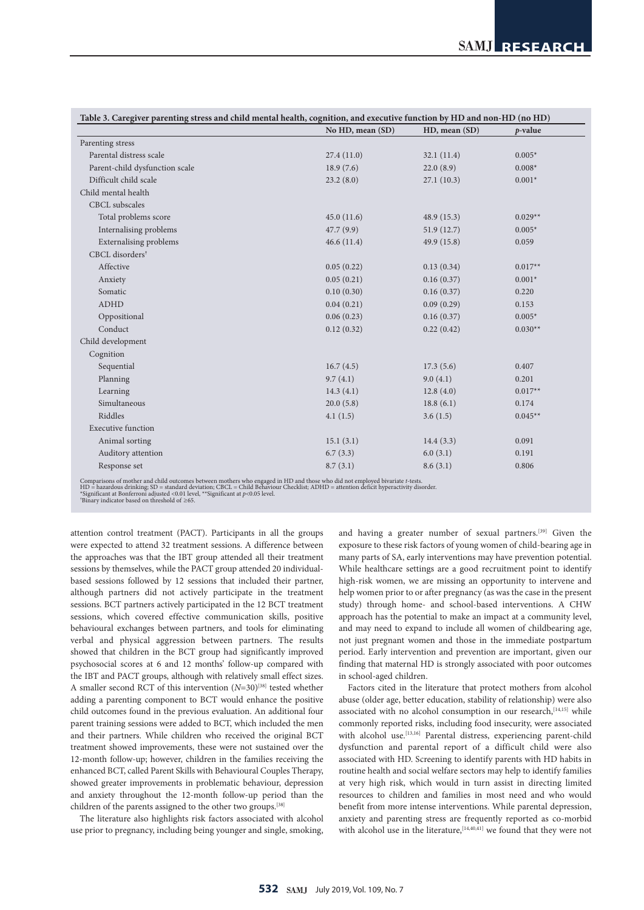|                                |                  | Table 3. Caregiver parenting stress and child mental health, cognition, and executive function by HD and non-HD (no HD) |           |  |  |  |
|--------------------------------|------------------|-------------------------------------------------------------------------------------------------------------------------|-----------|--|--|--|
|                                | No HD, mean (SD) | HD, mean (SD)                                                                                                           | p-value   |  |  |  |
| Parenting stress               |                  |                                                                                                                         |           |  |  |  |
| Parental distress scale        | 27.4(11.0)       | 32.1(11.4)                                                                                                              | $0.005*$  |  |  |  |
| Parent-child dysfunction scale | 18.9(7.6)        | 22.0(8.9)                                                                                                               | $0.008*$  |  |  |  |
| Difficult child scale          | 23.2(8.0)        | 27.1(10.3)                                                                                                              | $0.001*$  |  |  |  |
| Child mental health            |                  |                                                                                                                         |           |  |  |  |
| CBCL subscales                 |                  |                                                                                                                         |           |  |  |  |
| Total problems score           | 45.0(11.6)       | 48.9 (15.3)                                                                                                             | $0.029**$ |  |  |  |
| Internalising problems         | 47.7 (9.9)       | 51.9(12.7)                                                                                                              | $0.005*$  |  |  |  |
| <b>Externalising problems</b>  | 46.6(11.4)       | 49.9 (15.8)                                                                                                             | 0.059     |  |  |  |
| CBCL disorders <sup>†</sup>    |                  |                                                                                                                         |           |  |  |  |
| Affective                      | 0.05(0.22)       | 0.13(0.34)                                                                                                              | $0.017**$ |  |  |  |
| Anxiety                        | 0.05(0.21)       | 0.16(0.37)                                                                                                              | $0.001*$  |  |  |  |
| Somatic                        | 0.10(0.30)       | 0.16(0.37)                                                                                                              | 0.220     |  |  |  |
| <b>ADHD</b>                    | 0.04(0.21)       | 0.09(0.29)                                                                                                              | 0.153     |  |  |  |
| Oppositional                   | 0.06(0.23)       | 0.16(0.37)                                                                                                              | $0.005*$  |  |  |  |
| Conduct                        | 0.12(0.32)       | 0.22(0.42)                                                                                                              | $0.030**$ |  |  |  |
| Child development              |                  |                                                                                                                         |           |  |  |  |
| Cognition                      |                  |                                                                                                                         |           |  |  |  |
| Sequential                     | 16.7(4.5)        | 17.3(5.6)                                                                                                               | 0.407     |  |  |  |
| Planning                       | 9.7(4.1)         | 9.0(4.1)                                                                                                                | 0.201     |  |  |  |
| Learning                       | 14.3(4.1)        | 12.8(4.0)                                                                                                               | $0.017**$ |  |  |  |
| Simultaneous                   | 20.0(5.8)        | 18.8(6.1)                                                                                                               | 0.174     |  |  |  |
| Riddles                        | 4.1(1.5)         | 3.6(1.5)                                                                                                                | $0.045**$ |  |  |  |
| <b>Executive function</b>      |                  |                                                                                                                         |           |  |  |  |
| Animal sorting                 | 15.1(3.1)        | 14.4(3.3)                                                                                                               | 0.091     |  |  |  |
| Auditory attention             | 6.7(3.3)         | 6.0(3.1)                                                                                                                | 0.191     |  |  |  |
| Response set                   | 8.7(3.1)         | 8.6(3.1)                                                                                                                | 0.806     |  |  |  |
|                                |                  |                                                                                                                         |           |  |  |  |

Comparisons of mother and child outcomes between mothers who engaged in HD and those who did not employed bivariate t-tests.<br>HD = hazardous drinking; SD = standard deviation; CBCL = Child Behaviour Checklist; ADHD = atten

attention control treatment (PACT). Participants in all the groups were expected to attend 32 treatment sessions. A difference between the approaches was that the IBT group attended all their treatment sessions by themselves, while the PACT group attended 20 individualbased sessions followed by 12 sessions that included their partner, although partners did not actively participate in the treatment sessions. BCT partners actively participated in the 12 BCT treatment sessions, which covered effective communication skills, positive behavioural exchanges between partners, and tools for eliminating verbal and physical aggression between partners. The results showed that children in the BCT group had significantly improved psychosocial scores at 6 and 12 months' follow-up compared with the IBT and PACT groups, although with relatively small effect sizes. A smaller second RCT of this intervention ( $N=30$ )<sup>[38]</sup> tested whether adding a parenting component to BCT would enhance the positive child outcomes found in the previous evaluation. An additional four parent training sessions were added to BCT, which included the men and their partners. While children who received the original BCT treatment showed improvements, these were not sustained over the 12-month follow-up; however, children in the families receiving the enhanced BCT, called Parent Skills with Behavioural Couples Therapy, showed greater improvements in problematic behaviour, depression and anxiety throughout the 12-month follow-up period than the children of the parents assigned to the other two groups.[38]

The literature also highlights risk factors associated with alcohol use prior to pregnancy, including being younger and single, smoking,

and having a greater number of sexual partners.[39] Given the exposure to these risk factors of young women of child-bearing age in many parts of SA, early interventions may have prevention potential. While healthcare settings are a good recruitment point to identify high-risk women, we are missing an opportunity to intervene and help women prior to or after pregnancy (as was the case in the present study) through home- and school-based interventions. A CHW approach has the potential to make an impact at a community level, and may need to expand to include all women of childbearing age, not just pregnant women and those in the immediate postpartum period. Early intervention and prevention are important, given our finding that maternal HD is strongly associated with poor outcomes in school-aged children.

Factors cited in the literature that protect mothers from alcohol abuse (older age, better education, stability of relationship) were also associated with no alcohol consumption in our research, [14,15] while commonly reported risks, including food insecurity, were associated with alcohol use.<sup>[13,16]</sup> Parental distress, experiencing parent-child dysfunction and parental report of a difficult child were also associated with HD. Screening to identify parents with HD habits in routine health and social welfare sectors may help to identify families at very high risk, which would in turn assist in directing limited resources to children and families in most need and who would benefit from more intense interventions. While parental depression, anxiety and parenting stress are frequently reported as co-morbid with alcohol use in the literature, <a>[14,40,41]</a> we found that they were not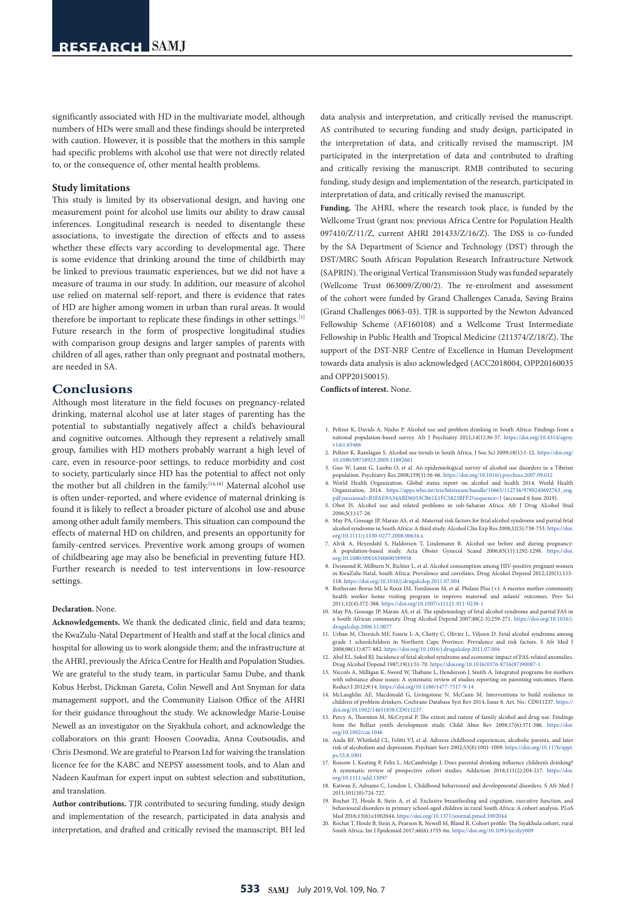significantly associated with HD in the multivariate model, although numbers of HDs were small and these findings should be interpreted with caution. However, it is possible that the mothers in this sample had specific problems with alcohol use that were not directly related to, or the consequence of, other mental health problems.

#### **Study limitations**

This study is limited by its observational design, and having one measurement point for alcohol use limits our ability to draw causal inferences. Longitudinal research is needed to disentangle these associations, to investigate the direction of effects and to assess whether these effects vary according to developmental age. There is some evidence that drinking around the time of childbirth may be linked to previous traumatic experiences, but we did not have a measure of trauma in our study. In addition, our measure of alcohol use relied on maternal self-report, and there is evidence that rates of HD are higher among women in urban than rural areas. It would therefore be important to replicate these findings in other settings.<sup>[1]</sup> Future research in the form of prospective longitudinal studies with comparison group designs and larger samples of parents with children of all ages, rather than only pregnant and postnatal mothers, are needed in SA.

### **Conclusions**

Although most literature in the field focuses on pregnancy-related drinking, maternal alcohol use at later stages of parenting has the potential to substantially negatively affect a child's behavioural and cognitive outcomes. Although they represent a relatively small group, families with HD mothers probably warrant a high level of care, even in resource-poor settings, to reduce morbidity and cost to society, particularly since HD has the potential to affect not only the mother but all children in the family.<sup>[14,16]</sup> Maternal alcohol use is often under-reported, and where evidence of maternal drinking is found it is likely to reflect a broader picture of alcohol use and abuse among other adult family members. This situation can compound the effects of maternal HD on children, and presents an opportunity for family-centred services. Preventive work among groups of women of childbearing age may also be beneficial in preventing future HD. Further research is needed to test interventions in low-resource settings.

#### **Declaration.** None.

**Acknowledgements.** We thank the dedicated clinic, field and data teams; the KwaZulu-Natal Department of Health and staff at the local clinics and hospital for allowing us to work alongside them; and the infrastructure at the AHRI, previously the Africa Centre for Health and Population Studies. We are grateful to the study team, in particular Samu Dube, and thank Kobus Herbst, Dickman Gareta, Colin Newell and Ant Snyman for data management support, and the Community Liaison Office of the AHRI for their guidance throughout the study. We acknowledge Marie-Louise Newell as an investigator on the Siyakhula cohort, and acknowledge the collaborators on this grant: Hoosen Coovadia, Anna Coutsoudis, and Chris Desmond. We are grateful to Pearson Ltd for waiving the translation licence fee for the KABC and NEPSY assessment tools, and to Alan and Nadeen Kaufman for expert input on subtest selection and substitution, and translation.

**Author contributions.** TJR contributed to securing funding, study design and implementation of the research, participated in data analysis and interpretation, and drafted and critically revised the manuscript. BH led data analysis and interpretation, and critically revised the manuscript. AS contributed to securing funding and study design, participated in the interpretation of data, and critically revised the manuscript. JM participated in the interpretation of data and contributed to drafting and critically revising the manuscript. RMB contributed to securing funding, study design and implementation of the research, participated in interpretation of data, and critically revised the manuscript.

**Funding.** The AHRI, where the research took place, is funded by the Wellcome Trust (grant nos: previous Africa Centre for Population Health 097410/Z/11/Z, current AHRI 201433/Z/16/Z). The DSS is co-funded by the SA Department of Science and Technology (DST) through the DST/MRC South African Population Research Infrastructure Network (SAPRIN). The original Vertical Transmission Study was funded separately (Wellcome Trust 063009/Z/00/2). The re-enrolment and assessment of the cohort were funded by Grand Challenges Canada, Saving Brains (Grand Challenges 0063-03). TJR is supported by the Newton Advanced Fellowship Scheme (AF160108) and a Wellcome Trust Intermediate Fellowship in Public Health and Tropical Medicine (211374/Z/18/Z). The support of the DST-NRF Centre of Excellence in Human Development towards data analysis is also acknowledged (ACC2018004, OPP20160035 and OPP20150015).

**Conflicts of interest.** None.

- 1. Peltzer K, Davids A, Njuho P. Alcohol use and problem drinking in South Africa: Findings from a national population-based survey. Afr J Psychiatry 2011;14(1):30-37. [https://doi.org/10.4314/ajpsy.](https://doi.org/10.4314/ajpsy.v14i1.65466)  $v14i1.65466$
- 2. Peltzer K, Ramlagan S. Alcohol use trends in South Africa. J Soc Sci 2009;18(1):1-12. [https://doi.org/](https://doi.org/10.1080/09718923.2009.11892661) [10.1080/09718923.2009.11892661](https://doi.org/10.1080/09718923.2009.11892661) 3. Guo W, Lanzi G, Luobu O, et al. An epidemiological survey of alcohol use disorders in a Tibetan
- population. Psychiatry Res 2008;159(1):56-66. <https://doi.org/10.1016/j.psychres.2007.09.012> 4. World Health Organization. Global status report on alcohol and health 2014. World Health
- Organization, 2014. [https://apps.who.int/iris/bitstream/handle/10665/112736/9789240692763\\_eng.](https://apps.who.int/iris/bitstream/handle/10665/112736/9789240692763_eng.pdf;jsessionid=B3FAE9A34ABD6053CB61E1FC5823BFF2?sequence=1) [pdf;jsessionid=B3FAE9A34ABD6053CB61E1FC5823BFF2?sequence=1](https://apps.who.int/iris/bitstream/handle/10665/112736/9789240692763_eng.pdf;jsessionid=B3FAE9A34ABD6053CB61E1FC5823BFF2?sequence=1) (accessed 6 June 2019).
- 5. Obot IS. Alcohol use and related problems in sub-Saharan Africa. Afr J Drug Alcohol Stud 2006;5(1):17-26.
- 6. May PA, Gossage JP, Marais AS, et al. Maternal risk factors for fetal alcohol syndrome and partial fetal alcohol syndrome in South Africa: A third study. Alcohol Clin Exp Res 2008;32(5):738-753. [https://doi.](https://doi.org/10.1111/j.1530-0277.2008.00634.x) [org/10.1111/j.1530-0277.2008.00634.x](https://doi.org/10.1111/j.1530-0277.2008.00634.x) 7. Alvik A, Heyerdahl S, Haldorsen T, Lindemann R. Alcohol use before and during pregnancy:
- A population-based study. Acta Obstet Gynecol Scand 2006;85(11):1292-1298. [https://doi.](https://doi.org/10.1080/00016340600589958) [org/10.1080/00016340600589958](https://doi.org/10.1080/00016340600589958)
- 8. Desmond K, Milburn N, Richter L, et al. Alcohol consumption among HIV-positive pregnant women in KwaZulu-Natal, South Africa: Prevalence and correlates. Drug Alcohol Depend 2012;120(1):113-
- 118. <https://doi.org/10.1016/j.drugalcdep.2011.07.004> 9. Rotheram-Borus MJ, le Roux IM, Tomlinson M, et al. Philani Plus (+): A mentor mother community health worker home visiting program to improve maternal and infants' outcomes. Prev Sci 2011;12(4):372-388. <https://doi.org/10.1007/s11121-011-0238-1>
- 10. May PA, Gossage JP, Marais AS, et al. The epidemiology of fetal alcohol syndrome and partial FAS in a South African community. Drug Alcohol Depend 2007;88(2-3):259-271. [https://doi.org/10.1016/j.](https://doi.org/10.1016/j.drugalcdep.2006.11.0077)
- [drugalcdep.2006.11.0077](https://doi.org/10.1016/j.drugalcdep.2006.11.0077) 11. Urban M, Chersich MF, Fourie L-A, Chetty C, Olivier L, Viljoen D. Fetal alcohol syndrome among grade 1 schoolchildren in Northern Cape Province: Prevalence and risk factors. S Afr Med J 2008;98(11):877-882.<https://doi.org/10.1016/j.drugalcdep.2011.07.004>
- 12. Abel EL, Sokol RJ. Incidence of fetal alcohol syndrome and economic impact of FAS-related anomalies. Drug Alcohol Depend 1987;19(1):51-70. [https://doi.org/10.1016/0376-8716\(87\)90087-1](https://doi.org/10.1016/0376-8716(87)90087-1)
- 13. Niccols A, Milligan K, Sword W, Thabane L, Henderson J, Smith A. Integrated programs for mothers with substance abuse issues: A systematic review of studies reporting on parenting outcomes. Harm Reduct J 2012;9:14. <https://doi.org/10.1186/1477-7517-9-14>
- 14. McLaughlin AE, Macdonald G, Livingstone N, McCann M. Interventions to build resilience in children of problem drinkers. Cochrane Database Syst Rev 2014, Issue 8. Art. No.: CD011237. [https://](https://doi.org/10.1002/14651858.CD011237) [doi.org/10.1002/14651858.CD011237](https://doi.org/10.1002/14651858.CD011237)
- 15. Percy A, Thornton M, McCrystal P. The extent and nature of family alcohol and drug use: Findings from the Belfast youth development study. Child Abus Rev 2008;17(6):371-386. [https://doi.](https://doi.org/10.1002/car.1046)
- [org/10.1002/car.1046](https://doi.org/10.1002/car.1046) 16. Anda RF, Whitfield CL, Felitti VJ, et al. Adverse childhood experiences, alcoholic parents, and later risk of alcoholism and depression. Psychiatr Serv 2002;53(8):1001-1009. [https://doi.org/10.1176/appi.](https://doi.org/10.1176/appi.ps.53.8.1001) [ps.53.8.1001](https://doi.org/10.1176/appi.ps.53.8.1001)
- 17. Rossow I, Keating P, Felix L, McCambridge J. Does parental drinking influence children's drinking? A systematic review of prospective cohort studies. Addiction 2016;111(2):204-217. [https://doi.](https://doi.org/10.1111/add.13097) [org/10.1111/add.13097](https://doi.org/10.1111/add.13097)
- 18. Katwan E, Adnams C, London L. Childhood behavioural and developmental disorders. S Afr Med J 2011;101(10):724-727.
- 19. Rochat TJ, Houle B, Stein A, et al. Exclusive breastfeeding and cognition, executive function, behavioural disorders in primary school-aged children in rural South Africa: A cohort analysis. PLoS Med 2016;13(6):e1002044. <https://doi.org/10.1371/journal.pmed.1002044>
- 20. Rochat T, Houle B, Stein A, Pearson R, Newell M, Bland R. Cohort profile: The Siyakhula cohort, rural South Africa. Int J Epidemiol 2017;46(6):1755-6n.<https://doi.org/10.1093/ije/dyy009>